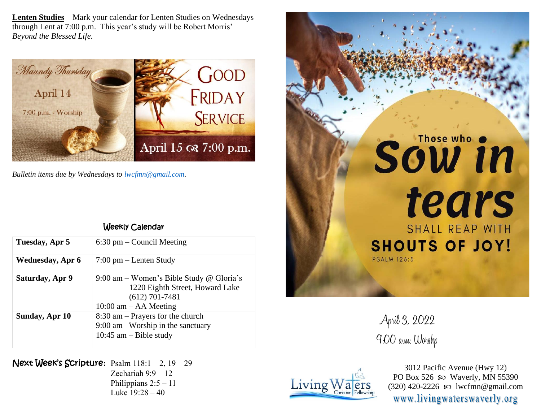**Lenten Studies** – Mark your calendar for Lenten Studies on Wednesdays through Lent at 7:00 p.m. This year's study will be Robert Morris' *Beyond the Blessed Life.*



*Bulletin items due by Wednesdays to [lwcfmn@gmail.com.](mailto:lwcfmn@gmail.com)*

| Weekly Calendar |
|-----------------|
|-----------------|

| Tuesday, Apr 5   | $6:30$ pm – Council Meeting                                                                                                  |
|------------------|------------------------------------------------------------------------------------------------------------------------------|
| Wednesday, Apr 6 | $7:00 \text{ pm} -$ Lenten Study                                                                                             |
| Saturday, Apr 9  | 9:00 am – Women's Bible Study @ Gloria's<br>1220 Eighth Street, Howard Lake<br>$(612)$ 701-7481<br>$10:00$ am $-$ AA Meeting |
| Sunday, Apr 10   | $8:30$ am – Prayers for the church<br>$9:00$ am $-Worship$ in the sanctuary<br>$10:45$ am – Bible study                      |

Next Week's Scripture**:** Psalm 118:1 – 2, 19 – 29

Zechariah 9:9 – 12 Philippians  $2:5 - 11$ Luke 19:28 – 40



April 3, 2022 9:00 a.m. Worshp



3012 Pacific Avenue (Hwy 12) PO Box 526  $\omega$  Waverly, MN 55390 (320) 420-2226 so lwcfmn@gmail.com www.livingwaterswaverly.org